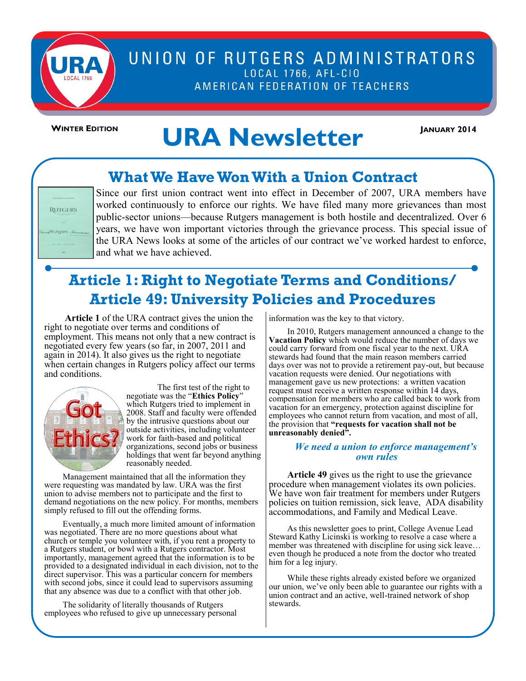

# UNION OF RUTGERS ADMINISTRATORS LOCAL 1766, AFL-CIO AMERICAN FEDERATION OF TEACHERS

# WINTER EDITION **URA Newsletter**

# **What We Have Won With a Union Contract**



Since our first union contract went into effect in December of 2007, URA members have worked continuously to enforce our rights. We have filed many more grievances than most public-sector unions—because Rutgers management is both hostile and decentralized. Over 6 years, we have won important victories through the grievance process. This special issue of the URA News looks at some of the articles of our contract we've worked hardest to enforce, and what we have achieved.

# **Article 1: Right to Negotiate Terms and Conditions/ Article 49: University Policies and Procedures**

**Article 1** of the URA contract gives the union the right to negotiate over terms and conditions of employment. This means not only that a new contract is negotiated every few years (so far, in 2007, 2011 and again in 2014). It also gives us the right to negotiate when certain changes in Rutgers policy affect our terms and conditions.



The first test of the right to negotiate was the "**Ethics Policy**" which Rutgers tried to implement in 2008. Staff and faculty were offended by the intrusive questions about our outside activities, including volunteer work for faith-based and political organizations, second jobs or business holdings that went far beyond anything reasonably needed.

Management maintained that all the information they were requesting was mandated by law. URA was the first union to advise members not to participate and the first to demand negotiations on the new policy. For months, members simply refused to fill out the offending forms.

Eventually, a much more limited amount of information was negotiated. There are no more questions about what church or temple you volunteer with, if you rent a property to a Rutgers student, or bowl with a Rutgers contractor. Most importantly, management agreed that the information is to be provided to a designated individual in each division, not to the direct supervisor. This was a particular concern for members with second jobs, since it could lead to supervisors assuming that any absence was due to a conflict with that other job.

The solidarity of literally thousands of Rutgers employees who refused to give up unnecessary personal information was the key to that victory.

In 2010, Rutgers management announced a change to the **Vacation Policy** which would reduce the number of days we could carry forward from one fiscal year to the next. URA stewards had found that the main reason members carried days over was not to provide a retirement pay-out, but because vacation requests were denied. Our negotiations with management gave us new protections: a written vacation request must receive a written response within 14 days, compensation for members who are called back to work from vacation for an emergency, protection against discipline for employees who cannot return from vacation, and most of all, the provision that **"requests for vacation shall not be unreasonably denied".**

#### *We need a union to enforce management's own rules*

**Article 49** gives us the right to use the grievance procedure when management violates its own policies. We have won fair treatment for members under Rutgers policies on tuition remission, sick leave, ADA disability accommodations, and Family and Medical Leave.

As this newsletter goes to print, College Avenue Lead Steward Kathy Licinski is working to resolve a case where a member was threatened with discipline for using sick leave… even though he produced a note from the doctor who treated him for a leg injury.

While these rights already existed before we organized our union, we've only been able to guarantee our rights with a union contract and an active, well-trained network of shop stewards.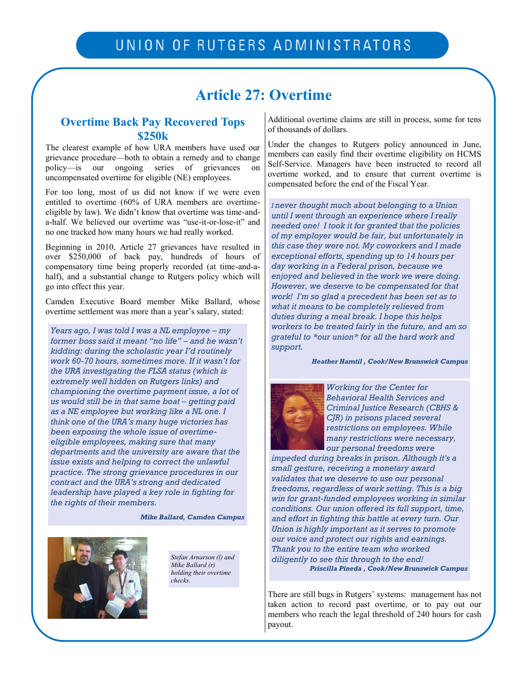# **Article 27: Overtime**

### **Overtime Back Pay Recovered Tops \$250k**

The clearest example of how URA members have used our grievance procedure—both to obtain a remedy and to change policy—is our ongoing series of grievances on uncompensated overtime for eligible (NE) employees.

For too long, most of us did not know if we were even entitled to overtime (60% of URA members are overtimeeligible by law). We didn't know that overtime was time-anda-half. We believed our overtime was "use-it-or-lose-it" and no one tracked how many hours we had really worked.

Beginning in 2010, Article 27 grievances have resulted in over \$250,000 of back pay, hundreds of hours of compensatory time being properly recorded (at time-and-ahalf), and a substantial change to Rutgers policy which will go into effect this year.

Camden Executive Board member Mike Ballard, whose overtime settlement was more than a year's salary, stated:

*Years ago, I was told I was a NL employee – my former boss said it meant "no life" – and he wasn't kidding: during the scholastic year I'd routinely work 60-70 hours, sometimes more. If it wasn't for the URA investigating the FLSA status (which is extremely well hidden on Rutgers links) and championing the overtime payment issue, a lot of us would still be in that same boat – getting paid as a NE employee but working like a NL one. I think one of the URA's many huge victories has been exposing the whole issue of overtimeeligible employees, making sure that many departments and the university are aware that the issue exists and helping to correct the unlawful practice. The strong grievance procedures in our contract and the URA's strong and dedicated leadership have played a key role in fighting for the rights of their members.*

*Mike Ballard, Camden Campus*



*Stefan Arnarson (l) and Mike Ballard (r) holding their overtime checks.*

Additional overtime claims are still in process, some for tens of thousands of dollars.

Under the changes to Rutgers policy announced in June, members can easily find their overtime eligibility on HCMS Self-Service. Managers have been instructed to record all overtime worked, and to ensure that current overtime is compensated before the end of the Fiscal Year.

*I never thought much about belonging to a Union until I went through an experience where I really needed one! I took it for granted that the policies of my employer would be fair, but unfortunately in this case they were not. My coworkers and I made exceptional efforts, spending up to 14 hours per day working in a Federal prison, because we enjoyed and believed in the work we were doing. However, we deserve to be compensated for that work! I'm so glad a precedent has been set as to what it means to be completely relieved from duties during a meal break. I hope this helps workers to be treated fairly in the future, and am so grateful to \*our union\* for all the hard work and support.*

*Heather Hamtil , Cook/New Brunswick Campus* 



*Working for the Center for Behavioral Health Services and Criminal Justice Research (CBHS & CJR) in prisons placed several restrictions on employees. While many restrictions were necessary, our personal freedoms were* 

*impeded during breaks in prison. Although it's a small gesture, receiving a monetary award validates that we deserve to use our personal freedoms, regardless of work setting. This is a big win for grant-funded employees working in similar conditions. Our union offered its full support, time, and effort in fighting this battle at every turn. Our Union is highly important as it serves to promote our voice and protect our rights and earnings. Thank you to the entire team who worked diligently to see this through to the end! Priscilla Pineda , Cook/New Brunswick Campus* 

There are still bugs in Rutgers' systems: management has not taken action to record past overtime, or to pay out our members who reach the legal threshold of 240 hours for cash payout.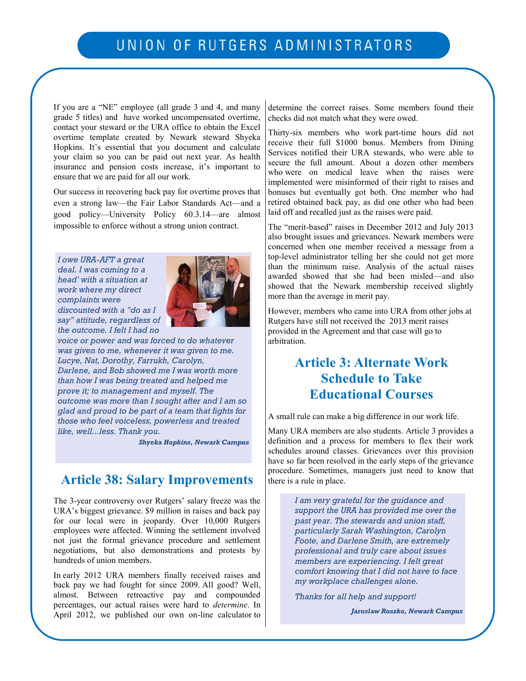If you are a "NE" employee (all grade 3 and 4, and many grade 5 titles) and have worked uncompensated overtime, contact your steward or the URA office to obtain the Excel overtime template created by Newark steward Shyeka Hopkins. It's essential that you document and calculate your claim so you can be paid out next year. As health insurance and pension costs increase, it's important to ensure that we are paid for all our work.

Our success in recovering back pay for overtime proves that even a strong law—the Fair Labor Standards Act—and a good policy—University Policy 60.3.14—are almost impossible to enforce without a strong union contract.

*I owe URA-AFT a great deal. I was coming to a head' with a situation at work where my direct complaints were discounted with a "do as I say" attitude, regardless of the outcome. I felt I had no* 



*voice or power and was forced to do whatever was given to me, whenever it was given to me. Lucye, Nat, Dorothy, Farrukh, Carolyn, Darlene, and Bob showed me I was worth more than how I was being treated and helped me prove it; to management and myself. The outcome was more than I sought after and I am so glad and proud to be part of a team that fights for those who feel voiceless, powerless and treated like, well...less. Thank you.*

*Shyeka Hopkins, Newark Campus*

## **Article 38: Salary Improvements**

The 3-year controversy over Rutgers' salary freeze was the URA's biggest grievance. \$9 million in raises and back pay for our local were in jeopardy. Over 10,000 Rutgers employees were affected. Winning the settlement involved not just the formal grievance procedure and settlement negotiations, but also demonstrations and protests by hundreds of union members.

In early 2012 URA members finally received raises and back pay we had fought for since 2009. All good? Well, almost. Between retroactive pay and compounded percentages, our actual raises were hard to *determine*. In April 2012, we published our own on-line calculator to determine the correct raises. Some members found their checks did not match what they were owed.

Thirty-six members who work part-time hours did not receive their full \$1000 bonus. Members from Dining Services notified their URA stewards, who were able to secure the full amount. About a dozen other members who were on medical leave when the raises were implemented were misinformed of their right to raises and bonuses but eventually got both. One member who had retired obtained back pay, as did one other who had been laid off and recalled just as the raises were paid.

The "merit-based" raises in December 2012 and July 2013 also brought issues and grievances. Newark members were concerned when one member received a message from a top-level administrator telling her she could not get more than the minimum raise. Analysis of the actual raises awarded showed that she had been misled—and also showed that the Newark membership received slightly more than the average in merit pay.

However, members who came into URA from other jobs at Rutgers have still not received the 2013 merit raises provided in the Agreement and that case will go to arbitration.

# **Article 3: Alternate Work Schedule to Take Educational Courses**

A small rule can make a big difference in our work life.

Many URA members are also students. Article 3 provides a definition and a process for members to flex their work schedules around classes. Grievances over this provision have so far been resolved in the early steps of the grievance procedure. Sometimes, managers just need to know that there is a rule in place.

> *I am very grateful for the guidance and support the URA has provided me over the past year. The stewards and union staff, particularly Sarah Washington, Carolyn Foote, and Darlene Smith, are extremely professional and truly care about issues members are experiencing. I felt great comfort knowing that I did not have to face my workplace challenges alone.*

*Thanks for all help and support!*

*Jaroslaw Roszko, Newark Campus*